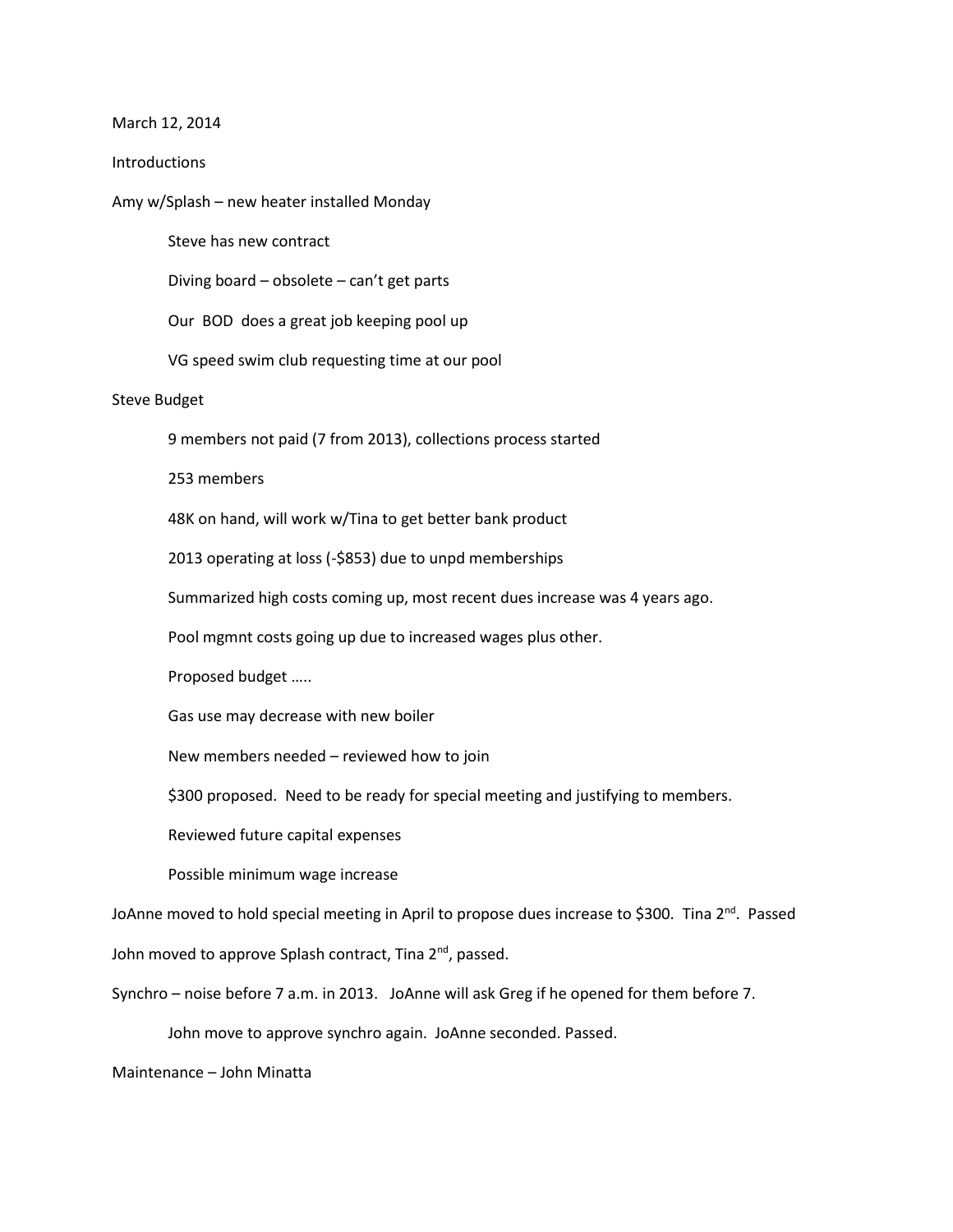## March 12, 2014

## Introductions

Amy w/Splash – new heater installed Monday

Steve has new contract

Diving board – obsolete – can't get parts

Our BOD does a great job keeping pool up

VG speed swim club requesting time at our pool

## Steve Budget

9 members not paid (7 from 2013), collections process started

253 members

48K on hand, will work w/Tina to get better bank product

2013 operating at loss (-\$853) due to unpd memberships

Summarized high costs coming up, most recent dues increase was 4 years ago.

Pool mgmnt costs going up due to increased wages plus other.

Proposed budget …..

Gas use may decrease with new boiler

New members needed – reviewed how to join

\$300 proposed. Need to be ready for special meeting and justifying to members.

Reviewed future capital expenses

Possible minimum wage increase

JoAnne moved to hold special meeting in April to propose dues increase to \$300. Tina  $2^{nd}$ . Passed John moved to approve Splash contract, Tina 2<sup>nd</sup>, passed.

Synchro – noise before 7 a.m. in 2013. JoAnne will ask Greg if he opened for them before 7.

John move to approve synchro again. JoAnne seconded. Passed.

Maintenance – John Minatta